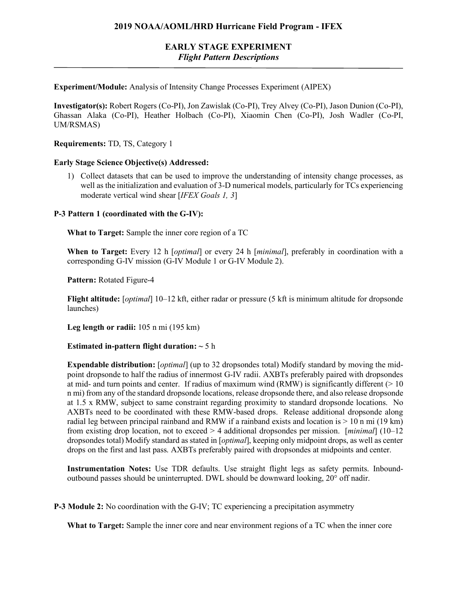## **2019 NOAA/AOML/HRD Hurricane Field Program - IFEX**

# **EARLY STAGE EXPERIMENT** *Flight Pattern Descriptions*

**Experiment/Module:** Analysis of Intensity Change Processes Experiment (AIPEX)

**Investigator(s):** Robert Rogers (Co-PI), Jon Zawislak (Co-PI), Trey Alvey (Co-PI), Jason Dunion (Co-PI), Ghassan Alaka (Co-PI), Heather Holbach (Co-PI), Xiaomin Chen (Co-PI), Josh Wadler (Co-PI, UM/RSMAS)

**Requirements:** TD, TS, Category 1

### **Early Stage Science Objective(s) Addressed:**

1) Collect datasets that can be used to improve the understanding of intensity change processes, as well as the initialization and evaluation of 3-D numerical models, particularly for TCs experiencing moderate vertical wind shear [*IFEX Goals 1, 3*]

### **P-3 Pattern 1 (coordinated with the G-IV):**

**What to Target:** Sample the inner core region of a TC

**When to Target:** Every 12 h [*optimal*] or every 24 h [*minimal*], preferably in coordination with a corresponding G-IV mission (G-IV Module 1 or G-IV Module 2).

**Pattern:** Rotated Figure-4

**Flight altitude:** [*optimal*] 10–12 kft, either radar or pressure (5 kft is minimum altitude for dropsonde launches)

**Leg length or radii:** 105 n mi (195 km)

### **Estimated in-pattern flight duration: ~** 5 h

**Expendable distribution:** [*optimal*] (up to 32 dropsondes total) Modify standard by moving the midpoint dropsonde to half the radius of innermost G-IV radii. AXBTs preferably paired with dropsondes at mid- and turn points and center. If radius of maximum wind (RMW) is significantly different  $(> 10$ n mi) from any of the standard dropsonde locations, release dropsonde there, and also release dropsonde at 1.5 x RMW, subject to same constraint regarding proximity to standard dropsonde locations. No AXBTs need to be coordinated with these RMW-based drops. Release additional dropsonde along radial leg between principal rainband and RMW if a rainband exists and location is  $> 10$  n mi (19 km) from existing drop location, not to exceed > 4 additional dropsondes per mission. [*minimal*] (10–12 dropsondes total) Modify standard as stated in [*optimal*], keeping only midpoint drops, as well as center drops on the first and last pass. AXBTs preferably paired with dropsondes at midpoints and center.

**Instrumentation Notes:** Use TDR defaults. Use straight flight legs as safety permits. Inboundoutbound passes should be uninterrupted. DWL should be downward looking, 20° off nadir.

**P-3 Module 2:** No coordination with the G-IV; TC experiencing a precipitation asymmetry

**What to Target:** Sample the inner core and near environment regions of a TC when the inner core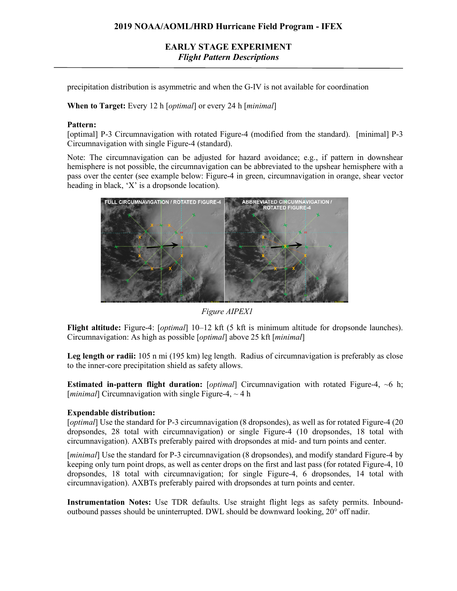## **2019 NOAA/AOML/HRD Hurricane Field Program - IFEX**

# **EARLY STAGE EXPERIMENT** *Flight Pattern Descriptions*

precipitation distribution is asymmetric and when the G-IV is not available for coordination

**When to Target:** Every 12 h [*optimal*] or every 24 h [*minimal*]

#### **Pattern:**

[optimal] P-3 Circumnavigation with rotated Figure-4 (modified from the standard). [minimal] P-3 Circumnavigation with single Figure-4 (standard).

Note: The circumnavigation can be adjusted for hazard avoidance; e.g., if pattern in downshear hemisphere is not possible, the circumnavigation can be abbreviated to the upshear hemisphere with a pass over the center (see example below: Figure-4 in green, circumnavigation in orange, shear vector heading in black, 'X' is a dropsonde location).



*Figure AIPEX1*

**Flight altitude:** Figure-4: [*optimal*] 10–12 kft (5 kft is minimum altitude for dropsonde launches). Circumnavigation: As high as possible [*optimal*] above 25 kft [*minimal*]

**Leg length or radii:** 105 n mi (195 km) leg length. Radius of circumnavigation is preferably as close to the inner-core precipitation shield as safety allows.

**Estimated in-pattern flight duration:** [*optimal*] Circumnavigation with rotated Figure-4, ~6 h; [*minimal*] Circumnavigation with single Figure-4,  $\sim$  4 h

## **Expendable distribution:**

[*optimal*] Use the standard for P-3 circumnavigation (8 dropsondes), as well as for rotated Figure-4 (20 dropsondes, 28 total with circumnavigation) or single Figure-4 (10 dropsondes, 18 total with circumnavigation). AXBTs preferably paired with dropsondes at mid- and turn points and center.

[*minimal*] Use the standard for P-3 circumnavigation (8 dropsondes), and modify standard Figure-4 by keeping only turn point drops, as well as center drops on the first and last pass (for rotated Figure-4, 10 dropsondes, 18 total with circumnavigation; for single Figure-4, 6 dropsondes, 14 total with circumnavigation). AXBTs preferably paired with dropsondes at turn points and center.

**Instrumentation Notes:** Use TDR defaults. Use straight flight legs as safety permits. Inboundoutbound passes should be uninterrupted. DWL should be downward looking, 20° off nadir.